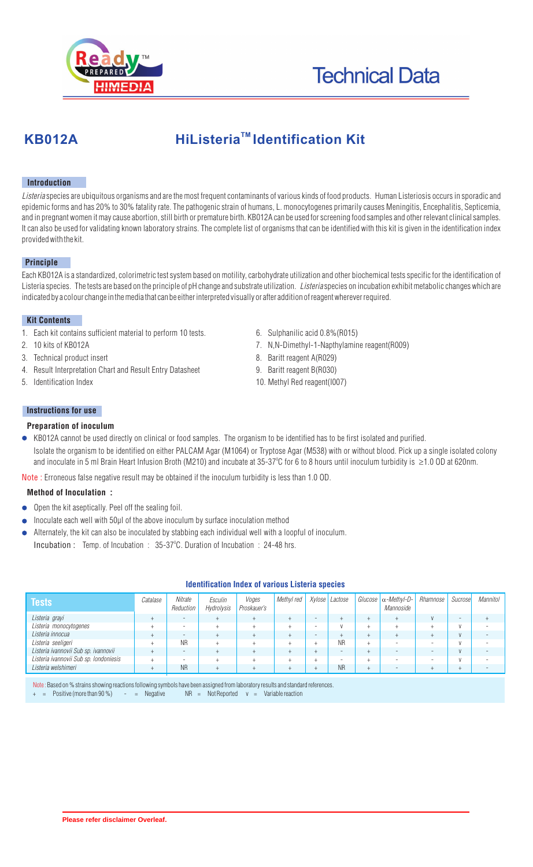

# **KB012A** HiListeria<sup>™</sup> Identification Kit

## **Introduction**

*Listeria* species are ubiquitous organisms and are the most frequent contaminants of various kinds of food products. Human Listeriosis occurs in sporadic and epidemic forms and has 20% to 30% fatality rate. The pathogenic strain of humans, L. monocytogenes primarily causes Meningitis, Encephalitis, Septicemia, and in pregnant women it may cause abortion, still birth or premature birth. KB012A can be used for screening food samples and other relevant clinical samples. It can also be used for validating known laboratory strains. The complete list of organisms that can be identified with this kit is given in the identification index provided with the kit.

#### **Principle**

Each KB012A is a standardized, colorimetric test system based on motility, carbohydrate utilization and other biochemical tests specific for the identification of Listeria species. The tests are based on the principle of pH change and substrate utilization. *Listeria* species on incubation exhibit metabolic changes which are indicated by a colour change in the media that can be either interpreted visually or after addition of reagent wherever required.

#### **Kit Contents**

- 1. Each kit contains sufficient material to perform 10 tests.
- 2. 10 kits of KB012A
- 3. Technical product insert
- 4. Result Interpretation Chart and Result Entry Datasheet
- 5. Identification Index
- 6. Sulphanilic acid 0.8%(R015)
- 7. N,N-Dimethyl-1-Napthylamine reagent(R009)
- 8. Baritt reagent A(R029)
- 9. Baritt reagent B(R030)
- 10. Methyl Red reagent(I007)

## **Instructions for use**

#### **Preparation of inoculum**

KB012A cannot be used directly on clinical or food samples. The organism to be identified has to be first isolated and purified. Isolate the organism to be identified on either PALCAM Agar (M1064) or Tryptose Agar (M538) with or without blood. Pick up a single isolated colony and inoculate in 5 ml Brain Heart Infusion Broth (M210) and incubate at 35-37°C for 6 to 8 hours until inoculum turbidity is  $\:$  1.0 OD at 620nm.

Note : Erroneous false negative result may be obtained if the inoculum turbidity is less than 1.0 OD.

## **Method of Inoculation :**

- Open the kit aseptically. Peel off the sealing foil.
- Inoculate each well with 50µl of the above inoculum by surface inoculation method
- Alternately, the kit can also be inoculated by stabbing each individual well with a loopful of inoculum.
- Incubation : Temp. of Incubation :  $35-37^{\circ}$ C. Duration of Incubation : 24-48 hrs.

| <b>Tests</b>                           | Catalase | Nitrate<br>Reduction     | Esculin<br>Hydrolysis | Voges<br>Proskauer's | Methyl red | Xylose Lactose | Glucose | -MethvI-D-<br>Mannoside | Rhamnose                 | Sucrosel       | Mannitol |
|----------------------------------------|----------|--------------------------|-----------------------|----------------------|------------|----------------|---------|-------------------------|--------------------------|----------------|----------|
| Listeria grayi                         |          | $\overline{\phantom{a}}$ |                       |                      |            |                |         |                         |                          |                |          |
| Listeria monocytogenes                 |          | $\overline{\phantom{a}}$ |                       |                      |            |                |         |                         |                          | $\overline{M}$ |          |
| Listeria innocua                       |          | $\overline{\phantom{a}}$ |                       |                      |            |                |         |                         |                          | $\mathbf{v}$   |          |
| Listeria seeligeri                     |          | <b>NR</b>                |                       |                      |            | ΝR             | ÷       |                         | $\overline{\phantom{0}}$ | $\overline{M}$ |          |
| Listeria ivannovii Sub sp. ivannovii   |          | $\overline{\phantom{a}}$ |                       |                      |            |                |         |                         |                          | $\mathbf{v}$   |          |
| Listeria ivannovii Sub sp. Iondoniesis |          | -                        |                       |                      |            |                |         |                         |                          | $\overline{M}$ |          |
| Listeria welshimeri                    |          | <b>NR</b>                |                       |                      |            | ΝF             |         |                         |                          |                |          |

#### **Identification Index of various Listeria species**

Note : Based on % strains showing reactions following symbols have been assigned from laboratory results and standard references.<br>+ = Positive (more than 90 %) - = Negative NR = Not Reported v = Variable reaction  $\text{Positive (more than 90 \%)}$  - = Negative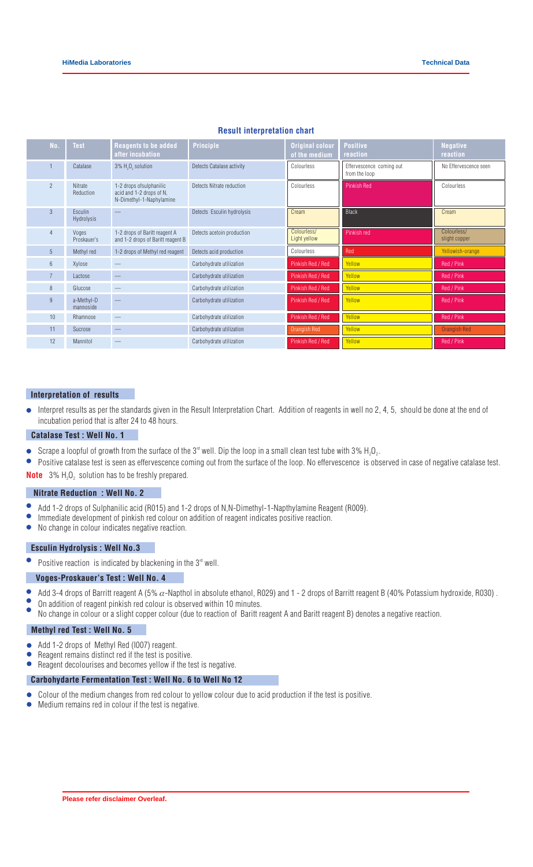| No.            | <b>Test</b>                  | Reagents to be added<br>after incubation                                         | <b>Principle</b>           | <b>Original colour</b><br>of the medium | <b>Positive</b><br>reaction               | <b>Negative</b><br>reaction  |
|----------------|------------------------------|----------------------------------------------------------------------------------|----------------------------|-----------------------------------------|-------------------------------------------|------------------------------|
|                | Catalase                     | 3% H <sub>2</sub> O <sub>2</sub> solution                                        | Detects Catalase activity  | Colourless                              | Effervescence coming out<br>from the loop | No Effervescence seen        |
| $\overline{2}$ | Nitrate<br>Reduction         | 1-2 drops of sulphanilic<br>acid and 1-2 drops of N.<br>N-Dimethyl-1-Naphylamine | Detects Nitrate reduction  | Colourless                              | <b>Pinkish Red</b>                        | Colourless                   |
| $\mathbf{3}$   | Esculin<br><b>Hydrolysis</b> |                                                                                  | Detects Esculin hydrolysis | Cream                                   | Black                                     | Cream                        |
|                | Voges<br>Proskauer's         | 1-2 drops of Baritt reagent A<br>and 1-2 drops of Baritt reagent B               | Detects acetoin production | Colourless/<br>Light yellow             | Pinkish red                               | Colourless/<br>slight copper |
| 5 <sup>5</sup> | Methyl red                   | 1-2 drops of Methyl red reagent                                                  | Detects acid production    | Colourless                              | Red                                       | Yellowish-orange             |
| $6^{\circ}$    | Xylose                       |                                                                                  | Carbohydrate utilization   | Pinkish Red / Red                       | Yellow                                    | Red / Pink                   |
| $7^{\circ}$    | Lactose                      |                                                                                  | Carbohydrate utilization   | Pinkish Red / Red                       | Yellow                                    | Red / Pink                   |
| 8              | Glucose                      |                                                                                  | Carbohydrate utilization   | Pinkish Red / Red                       | Yellow                                    | Red / Pink                   |
| 9              | a-Methyl-D<br>mannoside      |                                                                                  | Carbohydrate utilization   | Pinkish Red / Red                       | Yellow                                    | Red / Pink                   |
| 10             | Rhamnose                     | $\overline{\phantom{0}}$                                                         | Carbohydrate utilization   | Pinkish Red / Red                       | Yellow                                    | Red / Pink                   |
| 11             | Sucrose                      |                                                                                  | Carbohydrate utilization   | Orangish Red                            | Yellow                                    | <b>Orangish Red</b>          |
| 12             | Mannitol                     |                                                                                  | Carbohydrate utilization   | Pinkish Red / Red                       | Yellow                                    | Red / Pink                   |

#### **Result interpretation chart**

#### **Interpretation of results**

Interpret results as per the standards given in the Result Interpretation Chart. Addition of reagents in well no 2, 4, 5, should be done at the end of incubation period that is after 24 to 48 hours.

#### **Catalase Test : Well No. 1**

- $\bullet$ Scrape a loopful of growth from the surface of the 3<sup> $rd$ </sup> well. Dip the loop in a small clean test tube with 3% H<sub>2</sub>O<sub>2</sub>.
- $\bullet$ Positive catalase test is seen as effervescence coming out from the surface of the loop. No effervescence is observed in case of negative catalase test. **Note** :  $3\%$  H<sub>2</sub>O<sub>2</sub> solution has to be freshly prepared.

#### **Nitrate Reduction : Well No. 2**

- $\bullet$ Add 1-2 drops of Sulphanilic acid (R015) and 1-2 drops of N,N-Dimethyl-1-Napthylamine Reagent (R009).
- $\bullet$ Immediate development of pinkish red colour on addition of reagent indicates positive reaction.
- $\bullet$ No change in colour indicates negative reaction.

## **Esculin Hydrolysis : Well No.3**

 $\bullet$ Positive reaction is indicated by blackening in the  $3<sup>rd</sup>$  well.

#### **Voges-Proskauer's Test : Well No. 4**

- $\bullet$ Add 3-4 drops of Barritt reagent A (5%  $\alpha$ -Napthol in absolute ethanol, R029) and 1 - 2 drops of Barritt reagent B (40% Potassium hydroxide, R030).
- $\bullet$ On addition of reagent pinkish red colour is observed within 10 minutes.
- No change in colour or a slight copper colour (due to reaction of Baritt reagent A and Baritt reagent B) denotes a negative reaction.

### **Methyl red Test : Well No. 5**

- Add 1-2 drops of Methyl Red (I007) reagent.  $\bullet$
- Reagent remains distinct red if the test is positive.
- $\bullet$ Reagent decolourises and becomes yellow if the test is negative.

#### **Carbohydarte Fermentation Test : Well No. 6 to Well No 12**

- Colour of the medium changes from red colour to yellow colour due to acid production if the test is positive.
- Medium remains red in colour if the test is negative.  $\bullet$